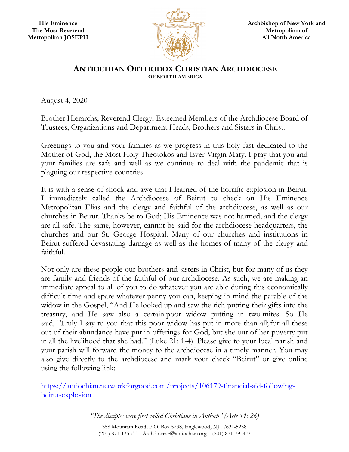

## **ANTIOCHIAN ORTHODOX CHRISTIAN ARCHDIOCESE OF NORTH AMERICA**

August 4, 2020

Brother Hierarchs, Reverend Clergy, Esteemed Members of the Archdiocese Board of Trustees, Organizations and Department Heads, Brothers and Sisters in Christ:

Greetings to you and your families as we progress in this holy fast dedicated to the Mother of God, the Most Holy Theotokos and Ever-Virgin Mary. I pray that you and your families are safe and well as we continue to deal with the pandemic that is plaguing our respective countries.

It is with a sense of shock and awe that I learned of the horrific explosion in Beirut. I immediately called the Archdiocese of Beirut to check on His Eminence Metropolitan Elias and the clergy and faithful of the archdiocese, as well as our churches in Beirut. Thanks be to God; His Eminence was not harmed, and the clergy are all safe. The same, however, cannot be said for the archdiocese headquarters, the churches and our St. George Hospital. Many of our churches and institutions in Beirut suffered devastating damage as well as the homes of many of the clergy and faithful.

Not only are these people our brothers and sisters in Christ, but for many of us they are family and friends of the faithful of our archdiocese. As such, we are making an immediate appeal to all of you to do whatever you are able during this economically difficult time and spare whatever penny you can, keeping in mind the parable of the widow in the Gospel, "And He looked up and saw the rich putting their gifts into the treasury, and He saw also a certain poor widow putting in two mites. So He said, "Truly I say to you that this poor widow has put in more than all; for all these out of their abundance have put in offerings for God, but she out of her poverty put in all the livelihood that she had." (Luke 21: 1-4). Please give to your local parish and your parish will forward the money to the archdiocese in a timely manner. You may also give directly to the archdiocese and mark your check "Beirut" or give online using the following link:

https://antiochian.networkforgood.com/projects/106179-financial-aid-followingbeirut-explosion

*"The disciples were first called Christians in Antioch" (Acts 11: 26)* 

358 Mountain Road**,** P.O. Box 5238**,** Englewood**,** NJ 07631-5238 (201) 871-1355 T Archdiocese@antiochian.org (201) 871-7954 F